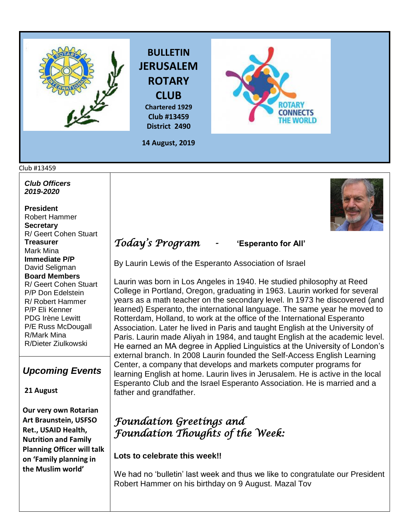



**Chartered 1929 Club #13459 District 2490**



**14 August, 2019**

#### Club #13459

*Club Officers 2019-2020*

**President**  Robert Hammer **Secretary**  R/ Geert Cohen Stuart **Treasurer**  Mark Mina **Immediate P/P** David Seligman **Board Members**  R/ Geert Cohen Stuart P/P Don Edelstein R/ Robert Hammer P/P Eli Kenner PDG Irène Lewitt P/E Russ McDougall R/Mark Mina R/Dieter Ziulkowski

## *Upcoming Events*

#### **21 August**

**Our very own Rotarian Art Braunstein, USFSO Ret., USAID Health, Nutrition and Family Planning Officer will talk on 'Family planning in the Muslim world'**



# *Today's Program -* **'Esperanto for All'**

By Laurin Lewis of the Esperanto Association of Israel

Laurin was born in Los Angeles in 1940. He studied philosophy at Reed College in Portland, Oregon, graduating in 1963. Laurin worked for several years as a math teacher on the secondary level. In 1973 he discovered (and learned) Esperanto, the international language. The same year he moved to Rotterdam, Holland, to work at the office of the International Esperanto Association. Later he lived in Paris and taught English at the University of Paris. Laurin made Aliyah in 1984, and taught English at the academic level. He earned an MA degree in Applied Linguistics at the University of London's external branch. In 2008 Laurin founded the Self-Access English Learning Center, a company that develops and markets computer programs for learning English at home. Laurin lives in Jerusalem. He is active in the local Esperanto Club and the Israel Esperanto Association. He is married and a father and grandfather.

# *Foundation Greetings and Foundation Thoughts of the Week:*

### **Lots to celebrate this week!!**

We had no 'bulletin' last week and thus we like to congratulate our President Robert Hammer on his birthday on 9 August. Mazal Tov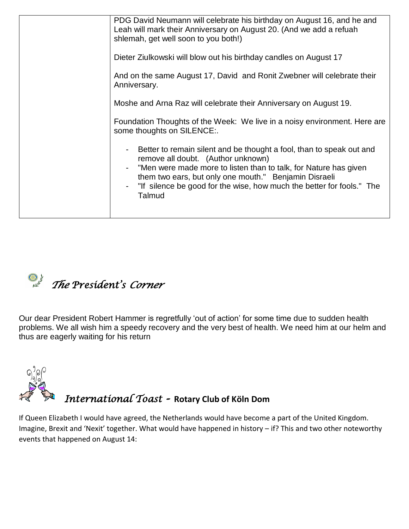| PDG David Neumann will celebrate his birthday on August 16, and he and<br>Leah will mark their Anniversary on August 20. (And we add a refuah<br>shlemah, get well soon to you both!)<br>Dieter Ziulkowski will blow out his birthday candles on August 17<br>And on the same August 17, David and Ronit Zwebner will celebrate their |
|---------------------------------------------------------------------------------------------------------------------------------------------------------------------------------------------------------------------------------------------------------------------------------------------------------------------------------------|
| Anniversary.<br>Moshe and Arna Raz will celebrate their Anniversary on August 19.                                                                                                                                                                                                                                                     |
| Foundation Thoughts of the Week: We live in a noisy environment. Here are<br>some thoughts on SILENCE:.                                                                                                                                                                                                                               |
| Better to remain silent and be thought a fool, than to speak out and<br>remove all doubt. (Author unknown)<br>"Men were made more to listen than to talk, for Nature has given<br>them two ears, but only one mouth." Benjamin Disraeli<br>"If silence be good for the wise, how much the better for fools." The<br>Talmud            |



Our dear President Robert Hammer is regretfully 'out of action' for some time due to sudden health problems. We all wish him a speedy recovery and the very best of health. We need him at our helm and thus are eagerly waiting for his return



If Queen Elizabeth I would have agreed, the Netherlands would have become a part of the United Kingdom. Imagine, Brexit and 'Nexit' together. What would have happened in history – if? This and two other noteworthy events that happened on August 14: